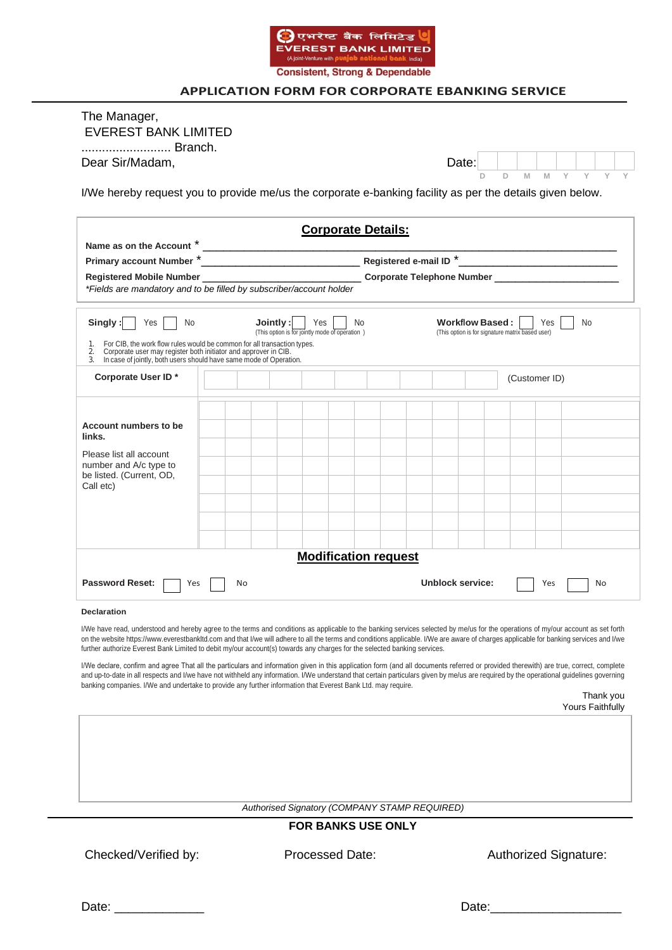

# **APPLICATION FORM FOR CORPORATE EBANKING SERVICE**

| Branch.<br>Dear Sir/Madam,                                                                                                                                                                                                                                                                                                                                                                                                                                                                                                                                                                                                                                                                                                                                                                                                                                                                                                                                                                                                         |    |          |     |                                                |                             |  |                                               | Date:           |   |                                                  |     |                  |           |  |
|------------------------------------------------------------------------------------------------------------------------------------------------------------------------------------------------------------------------------------------------------------------------------------------------------------------------------------------------------------------------------------------------------------------------------------------------------------------------------------------------------------------------------------------------------------------------------------------------------------------------------------------------------------------------------------------------------------------------------------------------------------------------------------------------------------------------------------------------------------------------------------------------------------------------------------------------------------------------------------------------------------------------------------|----|----------|-----|------------------------------------------------|-----------------------------|--|-----------------------------------------------|-----------------|---|--------------------------------------------------|-----|------------------|-----------|--|
| I/We hereby request you to provide me/us the corporate e-banking facility as per the details given below.                                                                                                                                                                                                                                                                                                                                                                                                                                                                                                                                                                                                                                                                                                                                                                                                                                                                                                                          |    |          |     |                                                |                             |  |                                               |                 | D | M<br>D                                           |     |                  |           |  |
|                                                                                                                                                                                                                                                                                                                                                                                                                                                                                                                                                                                                                                                                                                                                                                                                                                                                                                                                                                                                                                    |    |          |     |                                                | <b>Corporate Details:</b>   |  |                                               |                 |   |                                                  |     |                  |           |  |
|                                                                                                                                                                                                                                                                                                                                                                                                                                                                                                                                                                                                                                                                                                                                                                                                                                                                                                                                                                                                                                    |    |          |     |                                                |                             |  |                                               |                 |   |                                                  |     |                  |           |  |
| Registered Mobile Number ___________________________________Corporate Telephone Number ______________________                                                                                                                                                                                                                                                                                                                                                                                                                                                                                                                                                                                                                                                                                                                                                                                                                                                                                                                      |    |          |     |                                                |                             |  |                                               |                 |   |                                                  |     |                  |           |  |
| *Fields are mandatory and to be filled by subscriber/account holder                                                                                                                                                                                                                                                                                                                                                                                                                                                                                                                                                                                                                                                                                                                                                                                                                                                                                                                                                                |    |          |     |                                                |                             |  |                                               |                 |   |                                                  |     |                  |           |  |
| Singly:<br>Yes<br>No.<br>For CIB, the work flow rules would be common for all transaction types.<br>1.<br>Corporate user may register both initiator and approver in CIB.<br>2.                                                                                                                                                                                                                                                                                                                                                                                                                                                                                                                                                                                                                                                                                                                                                                                                                                                    |    | Jointly: | Yes | (This option is for jointly mode of operation) | No                          |  |                                               | Workflow Based: |   | (This option is for signature matrix based user) | Yes | <b>No</b>        |           |  |
| In case of jointly, both users should have same mode of Operation.<br>3.<br>Corporate User ID*                                                                                                                                                                                                                                                                                                                                                                                                                                                                                                                                                                                                                                                                                                                                                                                                                                                                                                                                     |    |          |     |                                                |                             |  |                                               |                 |   | (Customer ID)                                    |     |                  |           |  |
|                                                                                                                                                                                                                                                                                                                                                                                                                                                                                                                                                                                                                                                                                                                                                                                                                                                                                                                                                                                                                                    |    |          |     |                                                |                             |  |                                               |                 |   |                                                  |     |                  |           |  |
|                                                                                                                                                                                                                                                                                                                                                                                                                                                                                                                                                                                                                                                                                                                                                                                                                                                                                                                                                                                                                                    |    |          |     |                                                |                             |  |                                               |                 |   |                                                  |     |                  |           |  |
| Account numbers to be<br>links.                                                                                                                                                                                                                                                                                                                                                                                                                                                                                                                                                                                                                                                                                                                                                                                                                                                                                                                                                                                                    |    |          |     |                                                |                             |  |                                               |                 |   |                                                  |     |                  |           |  |
| Please list all account                                                                                                                                                                                                                                                                                                                                                                                                                                                                                                                                                                                                                                                                                                                                                                                                                                                                                                                                                                                                            |    |          |     |                                                |                             |  |                                               |                 |   |                                                  |     |                  |           |  |
| number and A/c type to<br>be listed. (Current, OD,                                                                                                                                                                                                                                                                                                                                                                                                                                                                                                                                                                                                                                                                                                                                                                                                                                                                                                                                                                                 |    |          |     |                                                |                             |  |                                               |                 |   |                                                  |     |                  |           |  |
| Call etc)                                                                                                                                                                                                                                                                                                                                                                                                                                                                                                                                                                                                                                                                                                                                                                                                                                                                                                                                                                                                                          |    |          |     |                                                |                             |  |                                               |                 |   |                                                  |     |                  |           |  |
|                                                                                                                                                                                                                                                                                                                                                                                                                                                                                                                                                                                                                                                                                                                                                                                                                                                                                                                                                                                                                                    |    |          |     |                                                |                             |  |                                               |                 |   |                                                  |     |                  |           |  |
|                                                                                                                                                                                                                                                                                                                                                                                                                                                                                                                                                                                                                                                                                                                                                                                                                                                                                                                                                                                                                                    |    |          |     |                                                |                             |  |                                               |                 |   |                                                  |     |                  |           |  |
|                                                                                                                                                                                                                                                                                                                                                                                                                                                                                                                                                                                                                                                                                                                                                                                                                                                                                                                                                                                                                                    |    |          |     |                                                | <b>Modification request</b> |  |                                               |                 |   |                                                  |     |                  |           |  |
| <b>Password Reset:</b>                                                                                                                                                                                                                                                                                                                                                                                                                                                                                                                                                                                                                                                                                                                                                                                                                                                                                                                                                                                                             |    |          |     |                                                |                             |  | Unblock service:                              |                 |   |                                                  |     |                  |           |  |
| Yes                                                                                                                                                                                                                                                                                                                                                                                                                                                                                                                                                                                                                                                                                                                                                                                                                                                                                                                                                                                                                                | No |          |     |                                                |                             |  |                                               |                 |   |                                                  | Yes |                  | No        |  |
| <b>Declaration</b><br>I/We have read, understood and hereby agree to the terms and conditions as applicable to the banking services selected by me/us for the operations of my/our account as set forth<br>on the website https://www.everestbankltd.com and that I/we will adhere to all the terms and conditions applicable. I/We are aware of charges applicable for banking services and I/we<br>further authorize Everest Bank Limited to debit my/our account(s) towards any charges for the selected banking services.<br>I/We declare, confirm and agree That all the particulars and information given in this application form (and all documents referred or provided therewith) are true, correct, complete<br>and up-to-date in all respects and I/we have not withheld any information. I/We understand that certain particulars given by me/us are required by the operational guidelines governing<br>banking companies. I/We and undertake to provide any further information that Everest Bank Ltd. may require. |    |          |     |                                                |                             |  |                                               |                 |   |                                                  |     | Yours Faithfully | Thank you |  |
|                                                                                                                                                                                                                                                                                                                                                                                                                                                                                                                                                                                                                                                                                                                                                                                                                                                                                                                                                                                                                                    |    |          |     |                                                |                             |  |                                               |                 |   |                                                  |     |                  |           |  |
|                                                                                                                                                                                                                                                                                                                                                                                                                                                                                                                                                                                                                                                                                                                                                                                                                                                                                                                                                                                                                                    |    |          |     |                                                |                             |  |                                               |                 |   |                                                  |     |                  |           |  |
|                                                                                                                                                                                                                                                                                                                                                                                                                                                                                                                                                                                                                                                                                                                                                                                                                                                                                                                                                                                                                                    |    |          |     |                                                |                             |  |                                               |                 |   |                                                  |     |                  |           |  |
|                                                                                                                                                                                                                                                                                                                                                                                                                                                                                                                                                                                                                                                                                                                                                                                                                                                                                                                                                                                                                                    |    |          |     |                                                |                             |  | Authorised Signatory (COMPANY STAMP REQUIRED) |                 |   |                                                  |     |                  |           |  |

Date: \_\_\_\_\_\_\_\_\_\_\_\_\_ Date:\_\_\_\_\_\_\_\_\_\_\_\_\_\_\_\_\_\_\_

| ٠. |  |
|----|--|
|    |  |